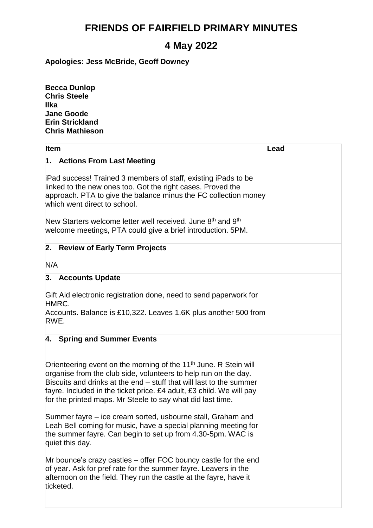## **FRIENDS OF FAIRFIELD PRIMARY MINUTES**

## **4 May 2022**

**Apologies: Jess McBride, Geoff Downey**

**Becca Dunlop Chris Steele Ilka Jane Goode Erin Strickland Chris Mathieson**

| Item                                                                                                                                                                                                                                                                                                                                                                                   | Lead |
|----------------------------------------------------------------------------------------------------------------------------------------------------------------------------------------------------------------------------------------------------------------------------------------------------------------------------------------------------------------------------------------|------|
| 1. Actions From Last Meeting                                                                                                                                                                                                                                                                                                                                                           |      |
| iPad success! Trained 3 members of staff, existing iPads to be<br>linked to the new ones too. Got the right cases. Proved the<br>approach. PTA to give the balance minus the FC collection money<br>which went direct to school.<br>New Starters welcome letter well received. June 8 <sup>th</sup> and 9 <sup>th</sup><br>welcome meetings, PTA could give a brief introduction. 5PM. |      |
|                                                                                                                                                                                                                                                                                                                                                                                        |      |
| 2. Review of Early Term Projects                                                                                                                                                                                                                                                                                                                                                       |      |
| N/A                                                                                                                                                                                                                                                                                                                                                                                    |      |
| 3. Accounts Update                                                                                                                                                                                                                                                                                                                                                                     |      |
| Gift Aid electronic registration done, need to send paperwork for<br>HMRC.                                                                                                                                                                                                                                                                                                             |      |
| Accounts. Balance is £10,322. Leaves 1.6K plus another 500 from<br>RWE.                                                                                                                                                                                                                                                                                                                |      |
| 4. Spring and Summer Events                                                                                                                                                                                                                                                                                                                                                            |      |
| Orienteering event on the morning of the 11 <sup>th</sup> June. R Stein will<br>organise from the club side, volunteers to help run on the day.<br>Biscuits and drinks at the end – stuff that will last to the summer<br>fayre. Included in the ticket price. £4 adult, £3 child. We will pay<br>for the printed maps. Mr Steele to say what did last time.                           |      |
| Summer fayre – ice cream sorted, usbourne stall, Graham and<br>Leah Bell coming for music, have a special planning meeting for<br>the summer fayre. Can begin to set up from 4.30-5pm. WAC is<br>quiet this day.                                                                                                                                                                       |      |
| Mr bounce's crazy castles – offer FOC bouncy castle for the end<br>of year. Ask for pref rate for the summer fayre. Leavers in the<br>afternoon on the field. They run the castle at the fayre, have it<br>ticketed.                                                                                                                                                                   |      |